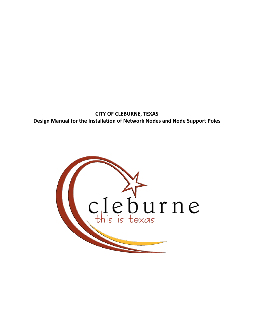**CITY OF CLEBURNE, TEXAS Design Manual for the Installation of Network Nodes and Node Support Poles**

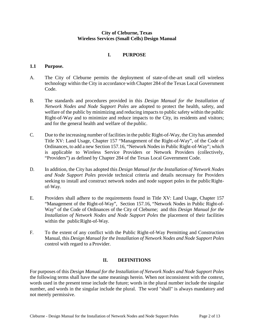## **City of Cleburne, Texas Wireless Services (Small Cells) Design Manual**

# **I. PURPOSE**

## **1.1 Purpose.**

- A. The City of Cleburne permits the deployment of state-of-the-art small cell wireless technology within the City in accordance with Chapter 284 of the Texas Local Government Code.
- B. The standards and procedures provided in this *Design Manual for the Installation of Network Nodes and Node Support Poles* are adopted to protect the health, safety, and welfare of the public by minimizing and reducing impacts to public safety within the public Right-of-Way and to minimize and reduce impacts to the City, its residents and visitors; and for the general health and welfare of the public.
- C. Due to the increasing number of facilities in the public Right-of-Way, the City has amended Title XV: Land Usage, Chapter 157 "Management of the Right-of-Way", of the Code of Ordinances, to add a new Section 157.16, "Network Nodes in Public Right-of-Way"; which is applicable to Wireless Service Providers or Network Providers (collectively, "Providers") as defined by Chapter 284 of the Texas Local Government Code.
- D. In addition, the City has adopted this *Design Manual for the Installation of Network Nodes and Node Support Poles* provide technical criteria and details necessary for Providers seeking to install and construct network nodes and node support poles in the public Rightof-Way.
- E. Providers shall adhere to the requirements found in Title XV: Land Usage, Chapter 157 "Management of the Right-of-Way", Section 157.16, "Network Nodes in Public Right-of-Way" of the Code of Ordinances of the City of Cleburne; and this *Design Manual for the Installation of Network Nodes and Node Support Poles* the placement of their facilities within the public Right-of-Way.
- F. To the extent of any conflict with the Public Right-of-Way Permitting and Construction Manual, this *Design Manual for the Installation of Network Nodes and Node Support Poles* control with regard to a Provider.

### **II. DEFINITIONS**

For purposes of this *Design Manual for the Installation of Network Nodes and Node Support Poles* the following terms shall have the same meanings herein. When not inconsistent with the context, words used in the present tense include the future; words in the plural number include the singular number, and words in the singular include the plural. The word "shall" is always mandatory and not merely permissive.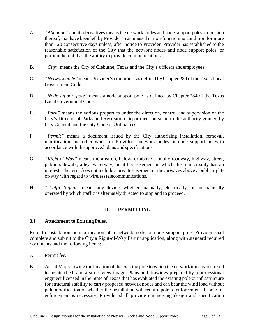- A. *"Abandon"* and its derivatives means the network nodes and node support poles, or portion thereof, that have been left by Provider in an unused or non-functioning condition for more than 120 consecutive days unless, after notice to Provider, Provider has established to the reasonable satisfaction of the City that the network nodes and node support poles, or portion thereof, has the ability to provide communications.
- B. *"City"* means the City of Cleburne, Texas and the City's officers andemployees.
- C. *"Network node"* means Provider's equipment as defined by Chapter 284 of theTexas Local Government Code.
- D. *"Node support pole"* means a node support pole as defined by Chapter 284 of the Texas Local Government Code.
- E. *"Park"* means the various properties under the direction, control and supervision of the City's Director of Parks and Recreation Department pursuant to the authority granted by City Council and the City Code of Ordinances.
- F. *"Permit"* means a document issued by the City authorizing installation, removal, modification and other work for Provider's network nodes or node support poles in accordance with the approved plans and specifications.
- G. *"Right-of-Way"* means the area on, below, or above a public roadway, highway, street, public sidewalk, alley, waterway, or utility easement in which the municipality has an interest. The term does not include a private easement or the airwaves above a public rightof-way with regard to wirelesstelecommunications.
- H. *"Traffic Signal"* means any device, whether manually, electrically, or mechanically operated by which traffic is alternately directed to stop and to proceed.

# **III. PERMITTING**

### **3.1 Attachment to ExistingPoles.**

Prior to installation or modification of a network node or node support pole, Provider shall complete and submit to the City a Right-of-Way Permit application, along with standard required documents and the following items:

- A. Permit fee.
- B. Aerial Map showing the location of the existing pole to which the network node is proposed to be attached, and a street view image. Plans and drawings prepared by a professional engineer licensed in the State of Texas that has evaluated the existing pole or infrastructure for structural stability to carry proposed network nodes and can bear the wind load without pole modification or whether the installation will require pole re-enforcement. If pole reenforcement is necessary, Provider shall provide engineering design and specification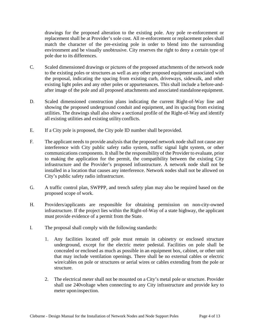drawings for the proposed alteration to the existing pole. Any pole re-enforcement or replacement shall be at Provider's sole cost. All re-enforcement or replacement poles shall match the character of the pre-existing pole in order to blend into the surrounding environment and be visually unobtrusive. City reserves the right to deny a certain type of pole due to its differences.

- C. Scaled dimensioned drawings or pictures of the proposed attachments of the network node to the existing poles or structures as well as any other proposed equipment associated with the proposal, indicating the spacing from existing curb, driveways, sidewalk, and other existing light poles and any other poles or appurtenances. This shall include a before-andafter image of the pole and all proposed attachments and associated standalone equipment.
- D. Scaled dimensioned construction plans indicating the current Right-of-Way line and showing the proposed underground conduit and equipment, and its spacing from existing utilities. The drawings shall also show a sectional profile of the Right-of-Way and identify all existing utilities and existing utility conflicts.
- E. If a City pole is proposed, the City pole ID number shall be provided.
- F. The applicant needs to provide analysis that the proposed network node shall not cause any interference with City public safety radio system, traffic signal light system, or other communications components. It shall be the responsibility of the Provider to evaluate, prior to making the application for the permit, the compatibility between the existing City infrastructure and the Provider's proposed infrastructure. A network node shall not be installed in a location that causes any interference. Network nodes shall not be allowed on City's public safety radio infrastructure.
- G. A traffic control plan, SWPPP, and trench safety plan may also be required based on the proposed scope of work.
- H. Providers/applicants are responsible for obtaining permission on non-city-owned infrastructure. If the project lies within the Right-of-Way of a state highway, the applicant must provide evidence of a permit from the State.
- I. The proposal shall comply with the following standards:
	- 1. Any facilities located off pole must remain in cabinetry or enclosed structure underground, except for the electric meter pedestal. Facilities on pole shall be concealed or enclosed as much as possible in an equipment box, cabinet, or other unit that may include ventilation openings. There shall be no external cables or electric wire/cables on pole or structures or aerial wires or cables extending from the pole or structure.
	- 2. The electrical meter shall not be mounted on a City's metal pole or structure. Provider shall use 240voltage when connecting to any City infrastructure and provide key to meter uponinspection.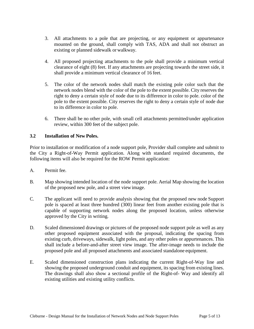- 3. All attachments to a pole that are projecting, or any equipment or appurtenance mounted on the ground, shall comply with TAS, ADA and shall not obstruct an existing or planned sidewalk or walkway.
- 4. All proposed projecting attachments to the pole shall provide a minimum vertical clearance of eight (8) feet. If any attachments are projecting towards the street side, it shall provide a minimum vertical clearance of 16 feet.
- 5. The color of the network nodes shall match the existing pole color such that the network nodes blend with the color of the pole to the extent possible. City reserves the right to deny a certain style of node due to its difference in color to pole. color of the pole to the extent possible. City reserves the right to deny a certain style of node due to its difference in color to pole.
- 6. There shall be no other pole, with small cell attachments permitted/under application review, within 300 feet of the subject pole.

# **3.2 Installation of New Poles.**

Prior to installation or modification of a node support pole, Provider shall complete and submit to the City a Right-of-Way Permit application. Along with standard required documents, the following items will also be required for the ROW Permit application:

- A. Permit fee.
- B. Map showing intended location of the node support pole. Aerial Map showing the location of the proposed new pole, and a street viewimage.
- C. The applicant will need to provide analysis showing that the proposed new node Support pole is spaced at least three hundred (300) linear feet from another existing pole that is capable of supporting network nodes along the proposed location, unless otherwise approved by the City in writing.
- D. Scaled dimensioned drawings or pictures of the proposed node support pole as well as any other proposed equipment associated with the proposal, indicating the spacing from existing curb, driveways, sidewalk, light poles, and any other poles or appurtenances. This shall include a before-and-after street view image. The after-image needs to include the proposed pole and all proposed attachments and associated standalone equipment.
- E. Scaled dimensioned construction plans indicating the current Right-of-Way line and showing the proposed underground conduit and equipment, its spacing from existing lines. The drawings shall also show a sectional profile of the Right-of- Way and identify all existing utilities and existing utility conflicts.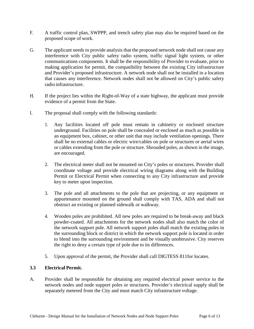- F. A traffic control plan, SWPPP, and trench safety plan may also be required based on the proposed scope of work.
- G. The applicant needs to provide analysis that the proposed network node shall not cause any interference with City public safety radio system, traffic signal light system, or other communications components. It shall be the responsibility of Provider to evaluate, prior to making application for permit, the compatibility between the existing City infrastructure and Provider's proposed infrastructure. A network node shall not be installed in a location that causes any interference. Network nodes shall not be allowed on City's public safety radio infrastructure.
- H. If the project lies within the Right-of-Way of a state highway, the applicant must provide evidence of a permit from the State.
- I. The proposal shall comply with the following standards:
	- 1. Any facilities located off pole must remain in cabinetry or enclosed structure underground. Facilities on pole shall be concealed or enclosed as much as possible in an equipment box, cabinet, or other unit that may include ventilation openings. There shall be no external cables or electric wire/cables on pole or structures or aerial wires or cables extending from the pole or structure. Shrouded poles, as shown in the image, are encouraged.
	- 2. The electrical meter shall not be mounted on City's poles or structures. Provider shall coordinate voltage and provide electrical wiring diagrams along with the Building Permit or Electrical Permit when connecting to any City infrastructure and provide key to meter upon inspection.
	- 3. The pole and all attachments to the pole that are projecting, or any equipment or appurtenance mounted on the ground shall comply with TAS, ADA and shall not obstruct an existing or planned sidewalk or walkway.
	- 4. Wooden poles are prohibited. All new poles are required to be break-away and black powder-coated. All attachments for the network nodes shall also match the color of the network support pole. All network support poles shall match the existing poles in the surrounding block or district in which the network support pole is located in order to blend into the surrounding environment and be visually unobtrusive. City reserves the right to deny a certain type of pole due to its differences.
	- 5. Upon approval of the permit, the Provider shall call DIGTESS 811for locates.

# **3.3 Electrical Permit.**

A. Provider shall be responsible for obtaining any required electrical power service to the network nodes and node support poles or structures. Provider's electrical supply shall be separately metered from the City and must match City infrastructure voltage.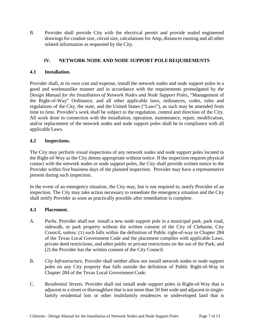B. Provider shall provide City with the electrical permit and provide sealed engineered drawings for conduit size, circuit size, calculations for Amp, distances running and all other related information as requested by the City.

# **IV. NETWORK NODE AND NODE SUPPORT POLE REQUIREMENTS**

# **4.1 Installation.**

Provider shall, at its own cost and expense, install the network nodes and node support poles in a good and workmanlike manner and in accordance with the requirements promulgated by *the Design Manual for the Installation of Network Nodes and Node Support Poles*, "Management of the Right-of-Way" Ordinance, and all other applicable laws, ordinances, codes, rules and regulations of the City, the state, and the United States ("Laws"), as such may be amended from time to time. Provider's work shall be subject to the regulation, control and direction of the City. All work done in connection with the installation, operation, maintenance, repair, modification, and/or replacement of the network nodes and node support poles shall be in compliance with all applicable Laws.

## **4.2 Inspections.**

The City may perform visual inspections of any network nodes and node support poles located in the Right-of-Way as the City deems appropriate without notice. If the inspection requires physical contact with the network nodes or node support poles, the City shall provide written notice to the Provider within five business days of the planned inspection. Provider may have a representative present during such inspection.

In the event of an emergency situation, the City may, but is not required to, notify Provider of an inspection. The City may take action necessary to remediate the emergency situation and the City shall notify Provider as soon as practically possible after remediation is complete.

### **4.3 Placement.**

- A. *Parks*. Provider shall not install a new node support pole in a municipal park, park road, sidewalk, or park property without the written consent of the City of Cleburne, City Council, unless: (1) such falls within the definition of Public right-of-way in Chapter 284 of the Texas Local Government Code and the placement complies with applicable Laws, private deed restrictions, and other public or private restrictions on the use of the Park; and (2) the Provider has the written consent of the City Council.
- B. *City Infrastructure.* Provider shall neither allow nor install network nodes or node support poles on any City property that falls outside the definition of Public Right-of-Way in Chapter 284 of the Texas Local Government Code.
- C. *Residential Streets.* Provider shall not install node support poles in Right-of-Way that is adjacent to a street or thoroughfare that is not more than 50 feet wide and adjacent to singlefamily residential lots or other multifamily residences or undeveloped land that is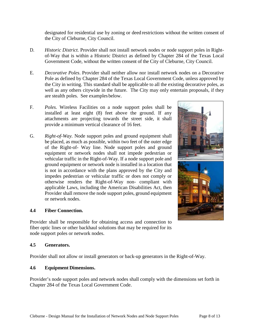designated for residential use by zoning or deed restrictions without the written consent of the City of Cleburne, City Council.

- D. *Historic District.* Provider shall not install network nodes or node support poles in Rightof-Way that is within a Historic District as defined by Chapter 284 of the Texas Local Government Code, without the written consent of the City of Cleburne, City Council.
- E. *Decorative Poles*. Provider shall neither allow nor install network nodes on a Decorative Pole as defined by Chapter 284 of the Texas Local Government Code, unless approved by the City in writing. This standard shall be applicable to all the existing decorative poles, as well as any others citywide in the future. The City may only entertain proposals, if they are stealth poles. See examplesbelow.
- F. *Poles.* Wireless Facilities on a node support poles shall be installed at least eight (8) feet above the ground. If any attachments are projecting towards the street side, it shall provide a minimum vertical clearance of 16 feet.
- G. *Right-of-Way.* Node support poles and ground equipment shall be placed, as much as possible, within two feet of the outer edge of the Right-of- Way line. Node support poles and ground equipment or network nodes shall not impede pedestrian or vehicular traffic in the Right-of-Way. If a node support pole and ground equipment or network node is installed in a location that is not in accordance with the plans approved by the City and impedes pedestrian or vehicular traffic or does not comply or otherwise renders the Right-of-Way non- compliant with applicable Laws, including the American Disabilities Act, then Provider shall remove the node support poles, ground equipment or network nodes.

### **4.4 Fiber Connection.**

Provider shall be responsible for obtaining access and connection to fiber optic lines or other backhaul solutions that may be required for its node support poles or network nodes.

#### **4.5 Generators.**

Provider shall not allow or install generators or back-up generators in the Right-of-Way.

#### **4.6 Equipment Dimensions.**

Provider's node support poles and network nodes shall comply with the dimensions set forth in Chapter 284 of the Texas Local Government Code.

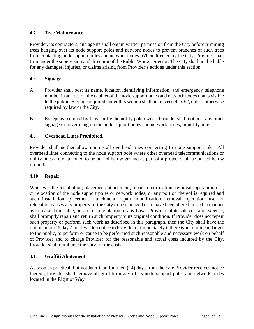# **4.7 Tree Maintenance.**

Provider, its contractors, and agents shall obtain written permission from the City before trimming trees hanging over its node support poles and network nodes to prevent branches of such trees from contacting node support poles and network nodes. When directed by the City, Provider shall trim under the supervision and direction of the Public Works Director. The City shall not be liable for any damages, injuries, or claims arising from Provider's actions under this section.

## **4.8 Signage.**

- A. Provider shall post its name, location identifying information, and emergency telephone number in an area on the cabinet of the node support poles and network nodes that is visible to the public. Signage required under this section shall not exceed 4" x 6", unless otherwise required by law or the City.
- B. Except as required by Laws or by the utility pole owner, Provider shall not post any other signage or advertising on the node support poles and network nodes, or utility pole.

## **4.9 Overhead Lines Prohibited.**

Provider shall neither allow nor install overhead lines connecting to node support poles. All overhead lines connecting to the node support pole where other overhead telecommunications or utility lines are or planned to be buried below ground as part of a project shall be buried below ground.

### **4.10 Repair.**

Whenever the installation, placement, attachment, repair, modification, removal, operation, use, or relocation of the node support poles or network nodes, or any portion thereof is required and such installation, placement, attachment, repair, modification, removal, operation, use, or relocation causes any property of the City to be damaged or to have been altered in such a manner as to make it unusable, unsafe, or in violation of any Laws, Provider, at its sole cost and expense, shall promptly repair and return such property to its original condition. If Provider does not repair such property or perform such work as described in this paragraph, then the City shall have the option, upon 15 days' prior written notice to Provider or immediately if there is an imminent danger to the public, to perform or cause to be performed such reasonable and necessary work on behalf of Provider and to charge Provider for the reasonable and actual costs incurred by the City. Provider shall reimburse the City for the costs.

### **4.11 Graffiti Abatement.**

As soon as practical, but not later than fourteen (14) days from the date Provider receives notice thereof, Provider shall remove all graffiti on any of its node support poles and network nodes located in the Right of Way.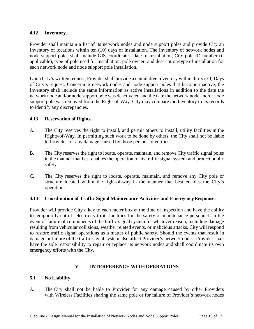## **4.12 Inventory.**

Provider shall maintain a list of its network nodes and node support poles and provide City an Inventory of locations within ten (10) days of installation. The Inventory of network nodes and node support poles shall include GIS coordinates, date of installation, City pole ID number (if applicable), type of pole used for installation, pole owner, and description/type of installation for each network node and node support pole installation.

Upon City's written request, Provider shall provide a cumulative Inventory within thirty (30) Days of City's request. Concerning network nodes and node support poles that become inactive, the Inventory shall include the same information as active installations in addition to the date the network node and/or node support pole was deactivated and the date the network node and/or node support pole was removed from the Right-of-Way. City may compare the Inventory to its records to identify any discrepancies.

## **4.13 Reservation of Rights.**

- A. The City reserves the right to install, and permit others to install, utility facilities in the Rights-of-Way. In permitting such work to be done by others, the City shall not be liable to Provider for any damage caused by those persons or entities.
- B. The City reserves the right to locate, operate, maintain, and remove City traffic signal poles in the manner that best enables the operation of its traffic signal system and protect public safety.
- C. The City reserves the right to locate, operate, maintain, and remove any City pole or structure located within the right-of-way in the manner that best enables the City's operations.

### **4.14 Coordination of Traffic Signal Maintenance Activities and EmergencyResponse.**

Provider will provide City a key to each meter box at the time of inspection and have the ability to temporarily cut-off electricity to its facilities for the safety of maintenance personnel. In the event of failure of components of the traffic signal system for whatever reason, including damage resulting from vehicular collisions, weather related events, or malicious attacks, City will respond to restore traffic signal operations as a matter of public safety. Should the events that result in damage or failure of the traffic signal system also affect Provider's network nodes, Provider shall have the sole responsibility to repair or replace its network nodes and shall coordinate its own emergency efforts with the City.

# **V. INTERFERENCE WITH OPERATIONS**

# **5.1 No Liability.**

A. The City shall not be liable to Provider for any damage caused by other Providers with Wireless Facilities sharing the same pole or for failure of Provider's network nodes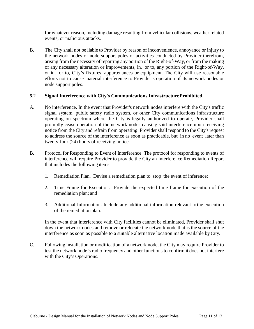for whatever reason, including damage resulting from vehicular collisions, weather related events, or malicious attacks.

B. The City shall not be liable to Provider by reason of inconvenience, annoyance or injury to the network nodes or node support poles or activities conducted by Provider therefrom, arising from the necessity of repairing any portion of the Right-of-Way, or from the making of any necessary alteration or improvements, in, or to, any portion of the Right-of-Way, or in, or to, City's fixtures, appurtenances or equipment. The City will use reasonable efforts not to cause material interference to Provider's operation of its network nodes or node support poles.

## **5.2 Signal Interference with City's Communications InfrastructureProhibited.**

- A. No interference. In the event that Provider's network nodes interfere with the City's traffic signal system, public safety radio system, or other City communications infrastructure operating on spectrum where the City is legally authorized to operate, Provider shall promptly cease operation of the network nodes causing said interference upon receiving notice from the City and refrain from operating. Provider shall respond to the City's request to address the source of the interference as soon as practicable, but in no event later than twenty-four (24) hours of receiving notice.
- B. Protocol for Responding to Event of Interference. The protocol for responding to events of interference will require Provider to provide the City an Interference Remediation Report that includes the following items:
	- 1. Remediation Plan. Devise a remediation plan to stop the event of inference;
	- 2. Time Frame for Execution. Provide the expected time frame for execution of the remediation plan; and
	- 3. Additional Information. Include any additional information relevant tothe execution of the remediation plan.

In the event that interference with City facilities cannot be eliminated, Provider shall shut down the network nodes and remove or relocate the network node that is the source of the interference as soon as possible to a suitable alternative location made available byCity.

C. Following installation or modification of a network node, the City may require Provider to test the network node's radio frequency and other functions to confirm it does not interfere with the City's Operations.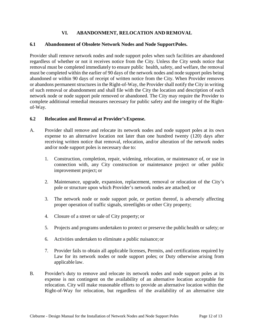# **VI. ABANDONMENT, RELOCATION AND REMOVAL**

#### **6.1 Abandonment of Obsolete Network Nodes and Node SupportPoles.**

Provider shall remove network nodes and node support poles when such facilities are abandoned regardless of whether or not it receives notice from the City. Unless the City sends notice that removal must be completed immediately to ensure public health, safety, and welfare, the removal must be completed within the earlier of 90 days of the network nodes and node support poles being abandoned or within 90 days of receipt of written notice from the City. When Provider removes or abandons permanent structures in the Right-of-Way, the Provider shall notify the City in writing of such removal or abandonment and shall file with the City the location and description of each network node or node support pole removed or abandoned. The City may require the Provider to complete additional remedial measures necessary for public safety and the integrity of the Rightof-Way.

### **6.2 Relocation and Removal at Provider'sExpense.**

- A. Provider shall remove and relocate its network nodes and node support poles at its own expense to an alternative location not later than one hundred twenty (120) days after receiving written notice that removal, relocation, and/or alteration of the network nodes and/or node support poles is necessary due to:
	- 1. Construction, completion, repair, widening, relocation, or maintenance of, or use in connection with, any City construction or maintenance project or other public improvement project; or
	- 2. Maintenance, upgrade, expansion, replacement, removal or relocation of the City's pole or structure upon which Provider's network nodes are attached; or
	- 3. The network node or node support pole, or portion thereof, is adversely affecting proper operation of traffic signals, streetlights or other City property;
	- 4. Closure of a street or sale of City property; or
	- 5. Projects and programs undertaken to protect or preserve the public health or safety; or
	- 6. Activities undertaken to eliminate a public nuisance; or
	- 7. Provider fails to obtain all applicable licenses, Permits, and certifications required by Law for its network nodes or node support poles; or Duty otherwise arising from applicable law.
- B. Provider's duty to remove and relocate its network nodes and node support poles at its expense is not contingent on the availability of an alternative location acceptable for relocation. City will make reasonable efforts to provide an alternative location within the Right-of-Way for relocation, but regardless of the availability of an alternative site